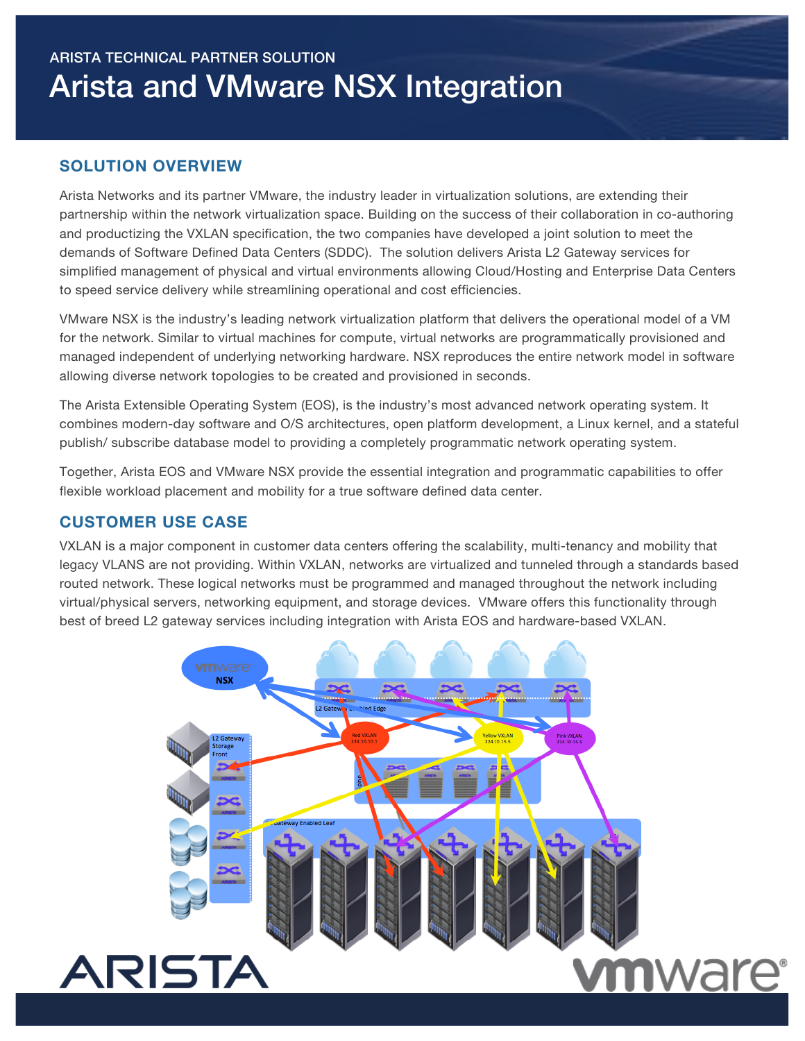# ARISTA TECHNICAL PARTNER SOLUTION Arista and VMware NSX Integration

## **SOLUTION OVERVIEW**

Arista Networks and its partner VMware, the industry leader in virtualization solutions, are extending their partnership within the network virtualization space. Building on the success of their collaboration in co-authoring and productizing the VXLAN specification, the two companies have developed a joint solution to meet the demands of Software Defined Data Centers (SDDC). The solution delivers Arista L2 Gateway services for simplified management of physical and virtual environments allowing Cloud/Hosting and Enterprise Data Centers to speed service delivery while streamlining operational and cost efficiencies.

VMware NSX is the industry's leading network virtualization platform that delivers the operational model of a VM for the network. Similar to virtual machines for compute, virtual networks are programmatically provisioned and managed independent of underlying networking hardware. NSX reproduces the entire network model in software allowing diverse network topologies to be created and provisioned in seconds.

The Arista Extensible Operating System (EOS), is the industry's most advanced network operating system. It combines modern-day software and O/S architectures, open platform development, a Linux kernel, and a stateful publish/ subscribe database model to providing a completely programmatic network operating system.

Together, Arista EOS and VMware NSX provide the essential integration and programmatic capabilities to offer flexible workload placement and mobility for a true software defined data center.

### **CUSTOMER USE CASE**

VXLAN is a major component in customer data centers offering the scalability, multi-tenancy and mobility that legacy VLANS are not providing. Within VXLAN, networks are virtualized and tunneled through a standards based routed network. These logical networks must be programmed and managed throughout the network including virtual/physical servers, networking equipment, and storage devices. VMware offers this functionality through best of breed L2 gateway services including integration with Arista EOS and hardware-based VXLAN.